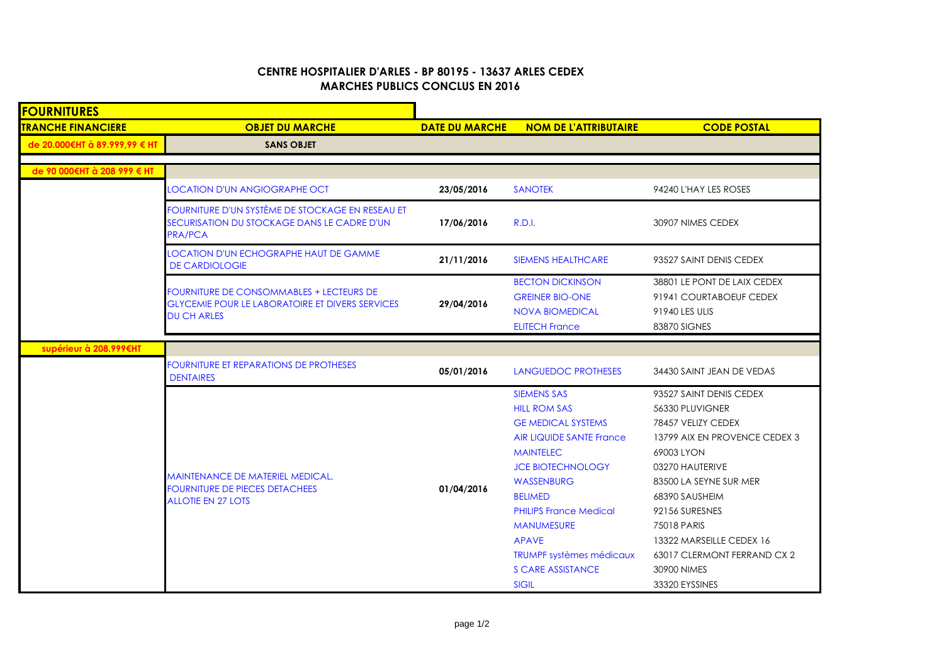## **CENTRE HOSPITALIER D'ARLES - BP 80195 - 13637 ARLES CEDEXMARCHES PUBLICS CONCLUS EN 2016**

| <b>FOURNITURES</b>            |                                                                                                                                 |                       |                                                                                                                                                                                                                                                                                                                                                |                                                                                                                                                                                                                                                                                                             |
|-------------------------------|---------------------------------------------------------------------------------------------------------------------------------|-----------------------|------------------------------------------------------------------------------------------------------------------------------------------------------------------------------------------------------------------------------------------------------------------------------------------------------------------------------------------------|-------------------------------------------------------------------------------------------------------------------------------------------------------------------------------------------------------------------------------------------------------------------------------------------------------------|
| <b>TRANCHE FINANCIERE</b>     | <b>OBJET DU MARCHE</b>                                                                                                          | <b>DATE DU MARCHE</b> | <b>NOM DE L'ATTRIBUTAIRE</b>                                                                                                                                                                                                                                                                                                                   | <b>CODE POSTAL</b>                                                                                                                                                                                                                                                                                          |
| de 20.000€HT à 89.999,99 € HT | <b>SANS OBJET</b>                                                                                                               |                       |                                                                                                                                                                                                                                                                                                                                                |                                                                                                                                                                                                                                                                                                             |
| de 90 000€HT à 208 999 € HT   |                                                                                                                                 |                       |                                                                                                                                                                                                                                                                                                                                                |                                                                                                                                                                                                                                                                                                             |
|                               |                                                                                                                                 |                       |                                                                                                                                                                                                                                                                                                                                                |                                                                                                                                                                                                                                                                                                             |
|                               | <b>LOCATION D'UN ANGIOGRAPHE OCT</b>                                                                                            | 23/05/2016            | <b>SANOTEK</b>                                                                                                                                                                                                                                                                                                                                 | 94240 L'HAY LES ROSES                                                                                                                                                                                                                                                                                       |
|                               | FOURNITURE D'UN SYSTÈME DE STOCKAGE EN RESEAU ET<br>SECURISATION DU STOCKAGE DANS LE CADRE D'UN<br><b>PRA/PCA</b>               | 17/06/2016            | <b>R.D.I.</b>                                                                                                                                                                                                                                                                                                                                  | 30907 NIMES CEDEX                                                                                                                                                                                                                                                                                           |
|                               | <b>LOCATION D'UN ECHOGRAPHE HAUT DE GAMME</b><br><b>DE CARDIOLOGIE</b>                                                          | 21/11/2016            | <b>SIEMENS HEALTHCARE</b>                                                                                                                                                                                                                                                                                                                      | 93527 SAINT DENIS CEDEX                                                                                                                                                                                                                                                                                     |
|                               | <b>FOURNITURE DE CONSOMMABLES + LECTEURS DE</b><br><b>GLYCEMIE POUR LE LABORATOIRE ET DIVERS SERVICES</b><br><b>DU CH ARLES</b> | 29/04/2016            | <b>BECTON DICKINSON</b><br><b>GREINER BIO-ONE</b><br><b>NOVA BIOMEDICAL</b><br><b>ELITECH France</b>                                                                                                                                                                                                                                           | 38801 LE PONT DE LAIX CEDEX<br>91941 COURTABOEUF CEDEX<br>91940 LES ULIS<br>83870 SIGNES                                                                                                                                                                                                                    |
| supérieur à 208.999€HT        |                                                                                                                                 |                       |                                                                                                                                                                                                                                                                                                                                                |                                                                                                                                                                                                                                                                                                             |
|                               | <b>FOURNITURE ET REPARATIONS DE PROTHESES</b><br><b>DENTAIRES</b>                                                               | 05/01/2016            | LANGUEDOC PROTHESES                                                                                                                                                                                                                                                                                                                            | 34430 SAINT JEAN DE VEDAS                                                                                                                                                                                                                                                                                   |
|                               | MAINTENANCE DE MATERIEL MEDICAL,<br><b>FOURNITURE DE PIECES DETACHEES</b><br><b>ALLOTIE EN 27 LOTS</b>                          | 01/04/2016            | <b>SIEMENS SAS</b><br><b>HILL ROM SAS</b><br><b>GE MEDICAL SYSTEMS</b><br><b>AIR LIQUIDE SANTE France</b><br><b>MAINTELEC</b><br><b>JCE BIOTECHNOLOGY</b><br>WASSENBURG<br><b>BELIMED</b><br><b>PHILIPS France Medical</b><br><b>MANUMESURE</b><br><b>APAVE</b><br><b>TRUMPF systèmes médicaux</b><br><b>S CARE ASSISTANCE</b><br><b>SIGIL</b> | 93527 SAINT DENIS CEDEX<br>56330 PLUVIGNER<br>78457 VELIZY CEDEX<br>13799 AIX EN PROVENCE CEDEX 3<br>69003 LYON<br>03270 HAUTERIVE<br>83500 LA SEYNE SUR MER<br>68390 SAUSHEIM<br>92156 SURESNES<br>75018 PARIS<br>13322 MARSEILLE CEDEX 16<br>63017 CLERMONT FERRAND CX 2<br>30900 NIMES<br>33320 EYSSINES |